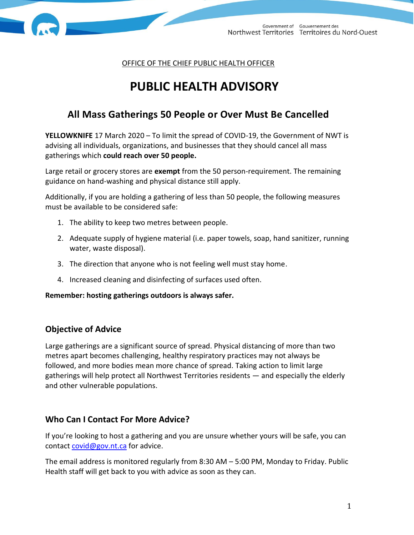

OFFICE OF THE CHIEF PUBLIC HEALTH OFFICER

# **PUBLIC HEALTH ADVISORY**

## **All Mass Gatherings 50 People or Over Must Be Cancelled**

**YELLOWKNIFE** 17 March 2020 – To limit the spread of COVID-19, the Government of NWT is advising all individuals, organizations, and businesses that they should cancel all mass gatherings which **could reach over 50 people.** 

Large retail or grocery stores are **exempt** from the 50 person-requirement. The remaining guidance on hand-washing and physical distance still apply.

Additionally, if you are holding a gathering of less than 50 people, the following measures must be available to be considered safe:

- 1. The ability to keep two metres between people.
- 2. Adequate supply of hygiene material (i.e. paper towels, soap, hand sanitizer, running water, waste disposal).
- 3. The direction that anyone who is not feeling well must stay home.
- 4. Increased cleaning and disinfecting of surfaces used often.

**Remember: hosting gatherings outdoors is always safer.** 

## **Objective of Advice**

Large gatherings are a significant source of spread. Physical distancing of more than two metres apart becomes challenging, healthy respiratory practices may not always be followed, and more bodies mean more chance of spread. Taking action to limit large gatherings will help protect all Northwest Territories residents — and especially the elderly and other vulnerable populations.

## **Who Can I Contact For More Advice?**

If you're looking to host a gathering and you are unsure whether yours will be safe, you can contact [covid@gov.nt.ca](mailto:covid@gov.nt.ca) for advice.

The email address is monitored regularly from 8:30 AM – 5:00 PM, Monday to Friday. Public Health staff will get back to you with advice as soon as they can.